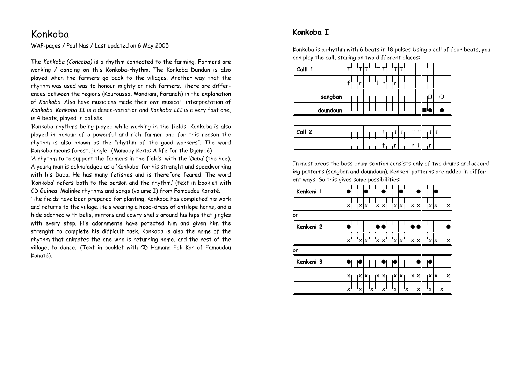# Konkoba

WAP-pages / Paul Nas / Last updated on 6 May 2005

The *Konkoba (Concoba)* is a rhythm connected to the farming. Farmers are working / dancing on this Konkoba-rhythm. The Konkoba Dundun is also played when the farmers go back to the villages. Another way that the rhythm was used was to honour mighty or rich farmers. There are differences between the regions (Kouroussa, Mandiani, Faranah) in the explanation of *Konkoba.* Also have musicians made their own musical interpretation of *Konkoba. Konkoba II* is a dance-variation and *Konkoba III* is a very fast one, in 4 beats, played in ballets.

'Konkoba rhythms being played while working in the fields. Konkoba is also played in honour of a powerful and rich farmer and for this reason the rhythm is also known as the "rhythm of the good workers". The word Konkoba means forest, jungle.' (Mamady Keïta: A life for the Djembé)

'A rhythm to to support the farmers in the fields with the '*Daba*' (the hoe). A young man is acknoledged as a 'Konkoba' for his strenght and speedworking with his Daba. He has many fetishes and is therefore feared. The word 'Konkoba' refers both to the person and the rhythm.' (text in booklet with CD Guinea: Malinke rhythms and songs (volume I) from Famoudou Konaté.

'The fields have been prepared for planting, Konkoba has completed his work and returns to the village. He's wearing a head-dress of antilope horns, and a hide adorned with bells, mirrors and cowry shells around his hips that jingles with every step. His adornments have potected him and given him the strenght to complete his difficult task. Konkoba is also the name of the rhythm that animates the one who is returning home, and the rest of the village, to dance.' (Text in booklet with CD Hamana Foli Kan of Famoudou Konaté).

## **Konkoba I**

Konkoba is a rhythm with 6 beats in 18 pulses Using a call of four beats, you can play the call, staring on two different places:

| Calll 1  |  |   | ÷ | łТ | T. |    |    |  |
|----------|--|---|---|----|----|----|----|--|
|          |  | n |   |    | r  | ۱r |    |  |
| sangban  |  |   |   |    |    |    |    |  |
| doundoun |  |   |   |    |    |    | ř, |  |

| Call 2 |  |  |   |  |   |  |
|--------|--|--|---|--|---|--|
|        |  |  | n |  | × |  |

In most areas the bass drum sextion consists only of two drums and according patterns (sangban and doundoun). Kenkeni patterns are added in different ways. So this gives some possibilities:

| Kenkeni 1 |   |    |      |    |     |   |                         |    |      |   |              |            |   |
|-----------|---|----|------|----|-----|---|-------------------------|----|------|---|--------------|------------|---|
|           | × | łχ |      |    | ∶×  |   | $\mathsf{X} \mathsf{X}$ |    | ixlx |   | ۱×           |            |   |
| or        |   |    |      |    |     |   |                         |    |      |   |              |            |   |
| Kenkeni 2 |   |    |      |    |     |   |                         |    |      |   |              |            |   |
|           |   |    |      |    |     |   |                         |    |      |   |              |            |   |
| or        |   |    |      |    |     |   |                         |    |      |   |              |            |   |
| Kenkeni 3 |   |    |      |    |     |   |                         |    |      |   |              |            |   |
|           | × | ŧΧ | IX : |    | X X |   | X                       |    |      | X | $\mathbf{x}$ | $\times$ : | x |
|           |   | iχ |      | iΧ |     | × | İΧ                      | iχ |      | × | iχ           |            |   |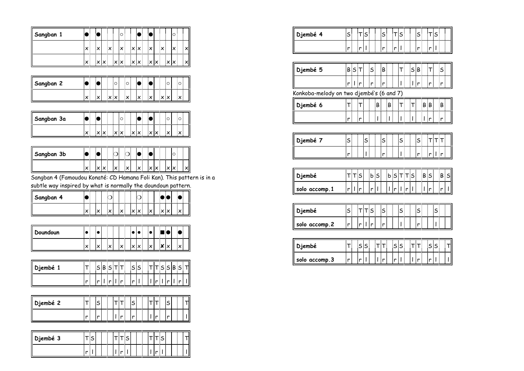| Sangban 1  |   |    |    | $\circ$ |     |    |    |  |    | C |  |
|------------|---|----|----|---------|-----|----|----|--|----|---|--|
|            | × | :x |    | ×       | ix. | ΙX | iχ |  |    |   |  |
|            | × | iχ |    |         |     |    |    |  |    |   |  |
|            |   |    |    |         |     |    |    |  |    |   |  |
| Sangban 2  |   |    | ٠О |         | ∶∩  |    |    |  | ÷О |   |  |
|            | x | iΧ |    |         |     |    | iΧ |  |    |   |  |
|            |   |    |    |         |     |    |    |  |    |   |  |
| Sanahan 3a |   |    |    |         |     |    |    |  |    |   |  |

| Sangban 3a |   |  |  |  |                      |         | . .<br>и             |           |                      |  |  |
|------------|---|--|--|--|----------------------|---------|----------------------|-----------|----------------------|--|--|
|            | v |  |  |  | $\ddot{\phantom{0}}$ | $\cdot$ | $\ddot{\phantom{0}}$ | $\ddotsc$ | $\ddot{\phantom{0}}$ |  |  |

| Sangban 3b |   |  |                                |  |  |  |              |
|------------|---|--|--------------------------------|--|--|--|--------------|
|            | v |  | $\ddot{\phantom{0}}$<br>$\sim$ |  |  |  | $\checkmark$ |

Sangban 4 (Famoudou Konaté: CD Hamana Foli Kan). This pattern is in a

subtle way inspired by what is normally the doundoun pattern.

| Sangban 4 |                      |     |  |  |         | ) : (                |  |
|-----------|----------------------|-----|--|--|---------|----------------------|--|
|           | $\ddot{\phantom{0}}$ | ٠., |  |  | $\cdot$ | $\ddot{\phantom{0}}$ |  |

| Doundoun |   |                                |   |                                |   |                            | ы                  |  |
|----------|---|--------------------------------|---|--------------------------------|---|----------------------------|--------------------|--|
|          | × | $\ddot{\phantom{0}}$<br>$\sim$ | v | $\ddot{\phantom{0}}$<br>$\sim$ | v | $\cdot$<br>$\cdot$ $\cdot$ | ⋯<br>۰×<br>$\cdot$ |  |

| Djembé |   |  |        |   | $\epsilon$ : | ritic : | יוכוכו | B¦S¦ | ΠI |
|--------|---|--|--------|---|--------------|---------|--------|------|----|
|        | n |  | $\sim$ | . |              | .       |        |      | Ι  |

| Djembé 2 |   | $\overline{\phantom{a}}$ |  |   | . . |  | . |  |
|----------|---|--------------------------|--|---|-----|--|---|--|
|          | × | n                        |  | и | и   |  |   |  |

| Djembé 3 |  |   |  |
|----------|--|---|--|
|          |  | n |  |

| Djembé 4                                 | sļ     | ļΤ          | sļ                            |     | sļ             | İΤ         | sļ               |             | S.    |                   | $\top$ | S                               | i                               |
|------------------------------------------|--------|-------------|-------------------------------|-----|----------------|------------|------------------|-------------|-------|-------------------|--------|---------------------------------|---------------------------------|
|                                          | r i    | ļη          | I                             |     | ŧ<br>r         | ¦r         | ł                |             | r i   |                   | ١r     | $\overline{\mathsf{L}}$         |                                 |
|                                          |        |             |                               |     |                |            |                  |             |       |                   |        |                                 |                                 |
| Djembé 5                                 |        | <b>B</b> ST |                               | S:  | B:             |            | т:               | :S          | $B$ : |                   | ۱T     |                                 | $S_{\frac{1}{2}}^{\frac{1}{2}}$ |
|                                          |        | r∏r         |                               | r   | r              |            | ı                | h           | r     |                   | ۱r     |                                 | r                               |
| Konkoba-melody on two djembé's (6 and 7) |        |             |                               |     |                |            |                  |             |       |                   |        |                                 |                                 |
| Djembé 6                                 | Τļ     | ļΤ          |                               | B   |                | ίB         | т                | ļΤ          |       | $B$ : $B$         |        |                                 | B                               |
|                                          | ŧ<br>r | łη          |                               | İΤ  |                | h          | I                | i<br>I      |       | $  \cdot  $       |        |                                 | r                               |
|                                          |        |             |                               |     |                |            |                  |             |       |                   |        |                                 |                                 |
| Djembé 7                                 | sļ     |             | sļ                            |     | $\mathsf{s}$ : | ļ          | sļ               |             | S.    |                   | ļΤ     | тіт                             |                                 |
|                                          | I<br>r |             | I<br>ı                        |     | r              |            | ļ<br>ı           |             | r     |                   | ١r     | $\mathsf{I}$ in                 |                                 |
|                                          |        |             |                               |     |                |            |                  |             |       |                   |        |                                 |                                 |
| Djembé                                   |        | T T S       |                               | bis |                | $b$ 5      |                  | $T$ $T$ $S$ |       | B <sub>S</sub>    |        |                                 | BİS                             |
| solo accomp.1                            |        | r   I  r    |                               | r∏  |                | $   \cdot$ |                  | r           |       | $  $ $\mathsf{r}$ |        |                                 | ۱r                              |
|                                          |        |             |                               |     |                |            |                  |             |       |                   |        |                                 |                                 |
| Djembé                                   | sị     | İΤ          | Tis                           |     | sļ             | İ          | sļ               |             | sļ    |                   |        | $S_{\frac{1}{2}}^{\frac{1}{2}}$ |                                 |
| solo accomp.2                            | 'nİ    | İη          | $  \cdot  $                   | i   | ļ<br>r         |            | ļ<br>I           |             | r     | ļ                 |        | ı.                              |                                 |
|                                          |        |             |                               |     |                |            |                  |             |       |                   |        |                                 |                                 |
| Djembé                                   | T:     | is.         | $\mathsf{s}$                  | įΤ  | Τį             | :S         | S.               | İΤ          | т     |                   | :S     | S                               | T                               |
| solo accomp.3                            | I<br>r | ¦r          | İ<br>$\overline{\phantom{a}}$ | 'n  | ļ<br>Ir        | ۱r         | İ<br>$\mathsf I$ | ا<br>ا      | r     | İ                 | r      | $\overline{\phantom{a}}$        | İ<br>L                          |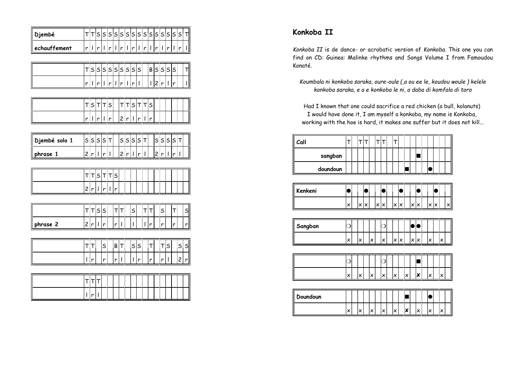| echauffement  | $s s s \tau $            | r  r<br>$\frac{r}{r}$   $\frac{r}{r}$   $\frac{r}{r}$   $\frac{r}{r}$<br>ן <sub>2 </sub> ד ד s<br>r   r | $  \cdot  _r  _r  _r  _r  _r  _r$<br>$  \cdot  $      |   |               |                                                                                    | $\tau$ $\tau$ $\vert \tau \vert$ $\tau$ $\vert s \vert$ |                          | $\overline{\mathbb{L}}$     |                           | $\begin{array}{c} \rule{2mm}{2mm} \rule{2mm}{2mm} \rule{2mm}{2mm} \rule{2mm}{2mm} \rule{2mm}{2mm} \rule{2mm}{2mm} \rule{2mm}{2mm} \rule{2mm}{2mm} \rule{2mm}{2mm} \rule{2mm}{2mm} \rule{2mm}{2mm} \rule{2mm}{2mm} \rule{2mm}{2mm} \rule{2mm}{2mm} \rule{2mm}{2mm} \rule{2mm}{2mm} \rule{2mm}{2mm} \rule{2mm}{2mm} \rule{2mm}{2mm} \rule{2mm}{2mm} \rule{2mm}{2mm} \rule{2mm}{2mm} \rule{2mm}{2mm} \rule{2mm}{$ |                 | $\lvert \mathbf{r} \rvert$ $\lvert \mathbf{r} \rvert$<br>2 r 1 | TSSSSSSSSS BSSSS<br>$\mathbf{r}$                                | $\vert\vert\vert_{\rm r}\vert\vert$<br>┆⊤<br>ا<br>ا |
|---------------|--------------------------|---------------------------------------------------------------------------------------------------------|-------------------------------------------------------|---|---------------|------------------------------------------------------------------------------------|---------------------------------------------------------|--------------------------|-----------------------------|---------------------------|----------------------------------------------------------------------------------------------------------------------------------------------------------------------------------------------------------------------------------------------------------------------------------------------------------------------------------------------------------------------------------------------------------------|-----------------|----------------------------------------------------------------|-----------------------------------------------------------------|-----------------------------------------------------|
|               |                          |                                                                                                         |                                                       |   |               |                                                                                    |                                                         |                          |                             |                           |                                                                                                                                                                                                                                                                                                                                                                                                                |                 |                                                                |                                                                 |                                                     |
|               |                          |                                                                                                         |                                                       |   |               |                                                                                    |                                                         |                          |                             |                           |                                                                                                                                                                                                                                                                                                                                                                                                                |                 |                                                                |                                                                 |                                                     |
|               |                          |                                                                                                         |                                                       |   |               |                                                                                    |                                                         |                          |                             |                           |                                                                                                                                                                                                                                                                                                                                                                                                                |                 |                                                                |                                                                 |                                                     |
|               |                          |                                                                                                         |                                                       |   |               |                                                                                    |                                                         |                          |                             |                           |                                                                                                                                                                                                                                                                                                                                                                                                                |                 |                                                                |                                                                 |                                                     |
|               |                          |                                                                                                         |                                                       |   |               |                                                                                    |                                                         |                          |                             |                           |                                                                                                                                                                                                                                                                                                                                                                                                                |                 |                                                                |                                                                 |                                                     |
|               |                          |                                                                                                         |                                                       |   |               |                                                                                    |                                                         |                          |                             |                           |                                                                                                                                                                                                                                                                                                                                                                                                                | ĺ               | I                                                              |                                                                 |                                                     |
|               |                          |                                                                                                         |                                                       |   |               | 2 r                                                                                |                                                         |                          | $\lceil \rceil \rceil$      |                           |                                                                                                                                                                                                                                                                                                                                                                                                                | Ī               | ┋                                                              |                                                                 |                                                     |
|               |                          |                                                                                                         |                                                       |   |               |                                                                                    |                                                         |                          |                             |                           |                                                                                                                                                                                                                                                                                                                                                                                                                |                 |                                                                |                                                                 |                                                     |
| Djembé solo 1 |                          |                                                                                                         |                                                       |   |               | s s s s t                                                                          |                                                         |                          |                             |                           |                                                                                                                                                                                                                                                                                                                                                                                                                |                 |                                                                | $ s s s \tau $                                                  |                                                     |
| phrase 1      | 2 r 1                    |                                                                                                         | $\left  \mathbf{r} \right  \mathbf{I}$                |   |               | 2 r 1                                                                              |                                                         |                          | $\left  \mathbf{r} \right $ |                           |                                                                                                                                                                                                                                                                                                                                                                                                                |                 | 2 r 1                                                          | $\left\vert \cdot \right\vert$ r $\left\vert \cdot \right\vert$ |                                                     |
|               |                          | τ т s т т s                                                                                             |                                                       |   |               |                                                                                    |                                                         |                          |                             |                           |                                                                                                                                                                                                                                                                                                                                                                                                                |                 |                                                                |                                                                 |                                                     |
|               |                          |                                                                                                         |                                                       |   |               |                                                                                    | j                                                       |                          |                             | $\frac{1}{2}$             |                                                                                                                                                                                                                                                                                                                                                                                                                | <br> <br> <br>İ | i                                                              |                                                                 | İ                                                   |
|               |                          | 2 r 1                                                                                                   | $\left  \mathbf{r} \right  \left  \mathbf{r} \right $ |   |               |                                                                                    |                                                         |                          |                             |                           |                                                                                                                                                                                                                                                                                                                                                                                                                |                 |                                                                |                                                                 |                                                     |
|               |                          | $\tau$ $\tau$ $ s $                                                                                     |                                                       |   |               | $\begin{bmatrix} 1 \\ 1 \end{bmatrix}$                                             |                                                         | $\mathsf{s}$             |                             | $\mathsf{T}^{\dagger}$    |                                                                                                                                                                                                                                                                                                                                                                                                                |                 | sļ                                                             | $\mathbf{T}$                                                    | $\mathsf{S}$                                        |
| phrase 2      | 2 r 1                    |                                                                                                         | ا<br>تا                                               |   | $\frac{1}{r}$ | $\begin{array}{c} \begin{array}{c} \uparrow \\ \downarrow \end{array} \end{array}$ |                                                         | $\overline{\mathbf{I}}$  |                             | $\overline{\mathbb{L}}$ r |                                                                                                                                                                                                                                                                                                                                                                                                                |                 | $\left  \mathbf{r} \right $                                    | $\overline{r}$                                                  | $\frac{1}{r}$                                       |
|               |                          |                                                                                                         |                                                       |   |               |                                                                                    |                                                         |                          |                             |                           |                                                                                                                                                                                                                                                                                                                                                                                                                |                 |                                                                |                                                                 |                                                     |
|               | $T$ $T$                  |                                                                                                         | $\mathsf{s}^{\mathsf{i}}$                             |   |               | $B\vert T \vert$ $S\vert S \vert$                                                  |                                                         |                          |                             |                           | $ \mathsf{T} $                                                                                                                                                                                                                                                                                                                                                                                                 |                 | $ \tau $ s                                                     |                                                                 | s s                                                 |
|               | $\mathsf{L}[\mathsf{r}]$ |                                                                                                         | ļ<br>r                                                |   | r             | $\overline{\mathbf{r}}$                                                            |                                                         | $\overline{\phantom{a}}$ |                             |                           | $\mathbb{F}_{r}$                                                                                                                                                                                                                                                                                                                                                                                               |                 | $\overline{\left\vert \mathbf{r}\right\vert }$ l               |                                                                 | $\frac{1}{2}$                                       |
|               |                          |                                                                                                         |                                                       |   |               |                                                                                    |                                                         |                          |                             |                           |                                                                                                                                                                                                                                                                                                                                                                                                                |                 |                                                                |                                                                 |                                                     |
|               |                          | ד ד <mark>ו</mark> ד                                                                                    |                                                       |   |               |                                                                                    |                                                         |                          | :<br>:<br>:                 |                           |                                                                                                                                                                                                                                                                                                                                                                                                                |                 | İ                                                              | :<br>:<br>:                                                     |                                                     |
|               | $\lceil \cdot \rceil$    |                                                                                                         | $\frac{1}{2}$                                         | İ |               | Ī                                                                                  | İ                                                       |                          | ļ                           | ļ                         |                                                                                                                                                                                                                                                                                                                                                                                                                | ļ               | :<br>:                                                         | Ī                                                               | İ                                                   |

# **Konkoba II**

*Konkoba II* is de dance- or acrobatic version of *Konkoba*. This one you can find on CD: Guinea: Malinke rhythms and Songs Volume I from Famoudou Konaté.

*Koumbala ni konkoba saraka, oure-oule (,a ou ee le, koudou woule ) kelele konkoba saraka, e a e konkoba le ni, a daba di komfala di toro*

Had I known that one could sacrifice a red chicken (a bull, kolanuts) I would have done it, I am myself a konkoba, my name is Konkoba, working with the hoe is hard, it makes one suffer but it does not kill...

| Call     |  |  | ŀ<br>÷ |  |  |  |  |  |
|----------|--|--|--------|--|--|--|--|--|
| sangban  |  |  |        |  |  |  |  |  |
| doundoun |  |  |        |  |  |  |  |  |

| Kenkeni |    |  |  |                            |            |                      |                      |              |              |                      |                  |                            |
|---------|----|--|--|----------------------------|------------|----------------------|----------------------|--------------|--------------|----------------------|------------------|----------------------------|
|         | x: |  |  | $\ddot{\phantom{0}}$<br>٠n | $\times$ : | $\ddot{\phantom{0}}$ | $\checkmark$<br>IX : | .<br>$\cdot$ | $\checkmark$ | $\ddot{\phantom{0}}$ | $\sim$<br>$\sim$ | ∶∨<br>$\ddot{\phantom{1}}$ |

| Sangban |     |     |                           |              |  |                                 |  |
|---------|-----|-----|---------------------------|--------------|--|---------------------------------|--|
|         | . . | .х. | $\ddot{\phantom{0}}$<br>⌒ | $\checkmark$ |  | ٠.,<br>$\overline{\phantom{a}}$ |  |

|  |  | v: | $\sim$ |  | $\cdot$<br>$\cdot$ |  |
|--|--|----|--------|--|--------------------|--|

| Doundoun |         |              |  |                      |         |                                         |  |
|----------|---------|--------------|--|----------------------|---------|-----------------------------------------|--|
|          | $\cdot$ | .<br>$\cdot$ |  | $\ddot{}$<br>$\cdot$ | $\cdot$ | $\ddot{\phantom{0}}$<br>$\cdot$ $\cdot$ |  |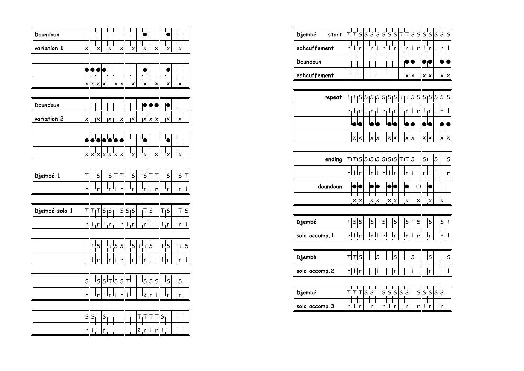| Doundoun      | :                         | $\ddot{\ddot{\phantom{a}}}\,$ | İ                | $\frac{1}{2}$        |               | İ                       | :<br>:<br>:                       |                              |                     | $\bullet$                            |               |                          | <br> <br>                              | $\bullet$               | İ             |                                           |
|---------------|---------------------------|-------------------------------|------------------|----------------------|---------------|-------------------------|-----------------------------------|------------------------------|---------------------|--------------------------------------|---------------|--------------------------|----------------------------------------|-------------------------|---------------|-------------------------------------------|
| variation 1   | $\mathsf{x}^{\mathsf{i}}$ | $\cdot$                       |                  | $\mathbf{x}$         |               | $\overline{x}$          |                                   | $_{\mathsf{x}}^{\mathsf{i}}$ |                     | $\mathbf{x}^{\dagger}$               |               | $\overline{x}$           |                                        | $\frac{1}{2}$           |               | $\overline{\mathsf{x}}$                   |
|               |                           |                               |                  |                      |               |                         |                                   |                              |                     |                                      |               |                          |                                        |                         |               |                                           |
|               |                           |                               | $\bullet$        | $\ddot{\phantom{a}}$ |               | <br> <br>               | j                                 |                              |                     | $\bullet$                            |               |                          | <br> <br>                              |                         | <br> <br>     | j                                         |
|               | $x$ $x$ $\infty$          |                               | $\overline{x}$   |                      | $\frac{1}{x}$ | $\overline{\mathbf{x}}$ |                                   | $\overline{\mathbf{x}}$      |                     | $\overline{\mathbf{x}}$              |               | $\overline{x}$           |                                        | $\overline{\mathbf{x}}$ |               | $\overline{\overline{x}}$                 |
|               |                           |                               |                  |                      |               |                         |                                   |                              |                     |                                      |               |                          |                                        |                         |               |                                           |
| Doundoun      | İ                         | $\frac{1}{2}$                 | İ                | ļ                    |               | j                       | :<br>:<br>:                       |                              |                     |                                      | $\frac{1}{2}$ | $\bullet$                |                                        |                         | ĺ             | l                                         |
| variation 2   | $\overline{\mathbf{x}}$   | $\overline{\mathsf{x}}$       |                  | $\vert_{x}$          |               | $\overline{x}$          |                                   | $\overline{\mathbf{x}}$      |                     |                                      |               | $x$ x $\sqrt{x}$         |                                        | $\cdot$                 |               | $\vert$ x                                 |
|               |                           |                               |                  |                      |               |                         |                                   |                              |                     |                                      |               |                          |                                        |                         |               |                                           |
|               |                           |                               |                  |                      |               | $\bullet$               |                                   |                              |                     | $\overline{\bullet}$                 |               |                          | İ                                      | $\bullet$               | $\frac{1}{2}$ | :                                         |
|               | x x x x x                 |                               |                  |                      |               |                         |                                   | $\overline{\mathbf{x}}$      |                     | $\overline{\mathbf{x}}$              |               | $\overline{x}$           |                                        | $\overline{\mathbf{x}}$ |               | $\overline{\mathbf{x}}$                   |
|               |                           |                               |                  |                      |               |                         |                                   |                              |                     |                                      |               |                          |                                        |                         |               |                                           |
| Djembé 1      | ℸ┊                        | S                             |                  | S T                  |               | $\mathsf{T}^\dagger_!$  |                                   | S                            |                     | $ s $ ד                              |               | $\mathbf{I}$             |                                        | S                       |               | ד∫s<br><u>ا</u>                           |
|               | $\frac{1}{r}$             | r                             |                  | r 1                  |               | $\overline{r}$          |                                   | r                            |                     | $\overline{\mathbf{r}_{\mathsf{L}}}$ |               | $\overline{r}$           |                                        | r                       |               | $\overline{r}$<br>$\overline{\mathbf{I}}$ |
|               |                           |                               |                  |                      |               |                         |                                   |                              |                     |                                      |               |                          |                                        |                         |               |                                           |
| Djembé solo 1 | s s ד ד                   |                               |                  |                      |               |                         | s s s                             |                              |                     |                                      | $ \tau $ s    |                          | ד s<br>$\frac{1}{\vert \vert \vert}$ r |                         |               | $\frac{1}{r}$ s                           |
|               | r 1 r                     |                               | $\mathsf{I}$ in  | ļ                    |               |                         | $\overline{r}$     $\overline{r}$ |                              |                     | $\overline{ _{\mathbf{r}} }$         |               |                          |                                        |                         |               |                                           |
|               |                           | T S                           |                  | $\tau$ ss            |               |                         |                                   | s                            | $\tau$ $\tau$ $ s $ |                                      |               |                          |                                        | $ \tau $ s              |               | T S                                       |
|               | $\overline{\mathbf{u}}$ r |                               |                  | r                    |               | $\overline{r}$          |                                   |                              |                     | $\lceil \cdot \rceil$                |               |                          | $\overline{\mathbb{F}}$ r              |                         |               | $\prod_{i=1}^n$                           |
|               |                           |                               |                  |                      |               |                         |                                   | r                            |                     |                                      |               |                          |                                        |                         |               | $\mathsf I$                               |
|               | sļ                        | İ                             |                  | s s t s s t          |               |                         |                                   |                              |                     |                                      |               | s s s                    |                                        | ြိ                      | :<br>:        | $s^{\rm i}_{\rm i}$                       |
|               | İ<br>r                    | 'n                            |                  | $\lceil  r  \rceil$  |               | $\frac{1}{r+1}$         | Ì                                 |                              |                     | $ 2 $ r                              |               | $\overline{\phantom{a}}$ |                                        | $\mathsf{r}$            |               | $\overline{[ \cdot ]}$                    |
|               |                           |                               |                  |                      |               |                         |                                   |                              |                     |                                      |               |                          |                                        |                         |               |                                           |
|               | s s                       |                               | $\mathsf{s}^!_!$ |                      |               | $\frac{1}{2}$           | <br> <br>                         |                              |                     |                                      |               | ד ד ד s                  |                                        |                         |               |                                           |
|               | $\frac{1}{r+1}$           |                               | $\overline{f}$   | $\frac{1}{2}$        |               | ļ                       | İ                                 |                              |                     |                                      |               | 2 r  r                   |                                        |                         |               |                                           |

| Djembé<br>start |                               |                                             |                                  | TTSSSSSSSTTSSSSSSS                  |
|-----------------|-------------------------------|---------------------------------------------|----------------------------------|-------------------------------------|
| echauffement    | $  \cdot  $<br>Ħ<br>¦r.<br>'n | Ir                                          | r   r   <br>$r$                  | r  r                                |
| Doundoun        |                               |                                             |                                  |                                     |
| echauffement    |                               |                                             | $x \times$                       | $x$ $\mathsf{x}$<br>×∶×             |
|                 |                               |                                             |                                  |                                     |
| repeat          |                               | $\tau$ $\tau$ $s$ $ s $ $s$ $ s $ $s$ $ s $ | $T$ $T$ $S$                      | $s$ s $s$ s $s$ s $s$               |
|                 | 1 r 1<br>Ħ<br>in.<br>'n       | r I r                                       | r                                | $r \parallel r$<br>$  \cdot  $<br>Ħ |
|                 |                               |                                             |                                  |                                     |
|                 | :× ×                          | $\vert x \vert x \vert$<br>$x$ $\infty$     | X: X                             | x: x<br>x: x                        |
|                 |                               |                                             |                                  |                                     |
| ending          |                               | TTSSSSSSSTTS                                |                                  | S<br>s:<br>!s                       |
|                 | r i liri<br>1 r 1             | r 1 r                                       | Ħ<br>$  \cdot  $                 | ۱r<br>: r                           |
| doundoun        |                               |                                             |                                  |                                     |
|                 | $\mathbf{x}$ $\mathbf{x}$     | $\vert x \vert x$<br>$x \times$             | $\times$<br>ix:                  | İX<br>×                             |
|                 |                               |                                             |                                  |                                     |
| Djembé          | ⊤isis                         | s T<br>$\mathsf{s}$<br>Ś<br>i               | s:<br>5 <sub>1</sub>             | .s<br>S T                           |
| solo accomp.1   | ∄l ¦r<br>r                    | r <br>r<br>r                                | r <sub>1</sub><br>r <sub>1</sub> | r∏<br>.<br>In                       |

| Djembé        |  |  |  |  |
|---------------|--|--|--|--|
| solo accomp.2 |  |  |  |  |

| Djembé        |       | sisisisisi            | S S S |
|---------------|-------|-----------------------|-------|
| solo accomp.3 | n:1:n | $r$ : $l$ : $r$ $l$ ! |       |